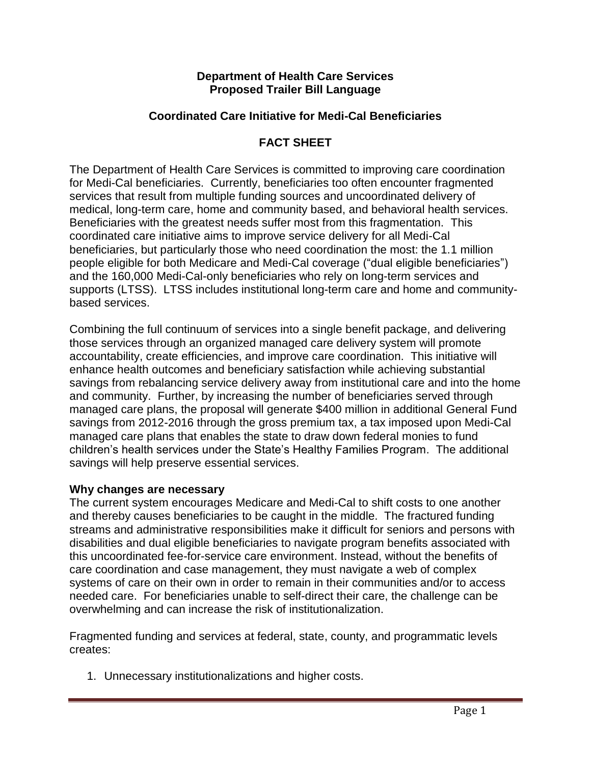#### **Department of Health Care Services Proposed Trailer Bill Language**

## **Coordinated Care Initiative for Medi-Cal Beneficiaries**

## **FACT SHEET**

The Department of Health Care Services is committed to improving care coordination for Medi-Cal beneficiaries. Currently, beneficiaries too often encounter fragmented services that result from multiple funding sources and uncoordinated delivery of medical, long-term care, home and community based, and behavioral health services. Beneficiaries with the greatest needs suffer most from this fragmentation. This coordinated care initiative aims to improve service delivery for all Medi-Cal beneficiaries, but particularly those who need coordination the most: the 1.1 million people eligible for both Medicare and Medi-Cal coverage ("dual eligible beneficiaries") and the 160,000 Medi-Cal-only beneficiaries who rely on long-term services and supports (LTSS). LTSS includes institutional long-term care and home and communitybased services.

Combining the full continuum of services into a single benefit package, and delivering those services through an organized managed care delivery system will promote accountability, create efficiencies, and improve care coordination. This initiative will enhance health outcomes and beneficiary satisfaction while achieving substantial savings from rebalancing service delivery away from institutional care and into the home and community. Further, by increasing the number of beneficiaries served through managed care plans, the proposal will generate \$400 million in additional General Fund savings from 2012-2016 through the gross premium tax, a tax imposed upon Medi-Cal managed care plans that enables the state to draw down federal monies to fund children's health services under the State's Healthy Families Program. The additional savings will help preserve essential services.

#### **Why changes are necessary**

The current system encourages Medicare and Medi-Cal to shift costs to one another and thereby causes beneficiaries to be caught in the middle. The fractured funding streams and administrative responsibilities make it difficult for seniors and persons with disabilities and dual eligible beneficiaries to navigate program benefits associated with this uncoordinated fee-for-service care environment. Instead, without the benefits of care coordination and case management, they must navigate a web of complex systems of care on their own in order to remain in their communities and/or to access needed care. For beneficiaries unable to self-direct their care, the challenge can be overwhelming and can increase the risk of institutionalization.

Fragmented funding and services at federal, state, county, and programmatic levels creates:

1. Unnecessary institutionalizations and higher costs.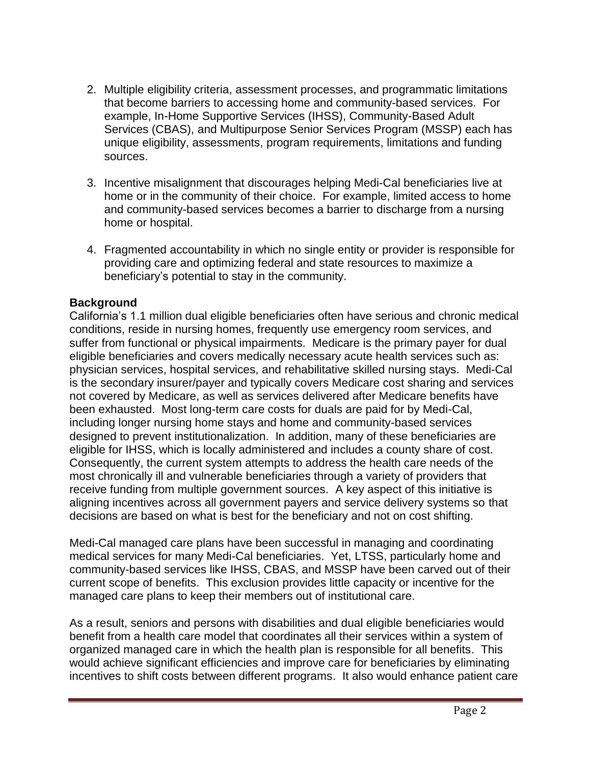- 2. Multiple eligibility criteria, assessment processes, and programmatic limitations that become barriers to accessing home and community-based services. For example, In-Home Supportive Services (IHSS), Community-Based Adult Services (CBAS), and Multipurpose Senior Services Program (MSSP) each has unique eligibility, assessments, program requirements, limitations and funding sources.
- 3. Incentive misalignment that discourages helping Medi-Cal beneficiaries live at home or in the community of their choice. For example, limited access to home and community-based services becomes a barrier to discharge from a nursing home or hospital.
- 4. Fragmented accountability in which no single entity or provider is responsible for providing care and optimizing federal and state resources to maximize a beneficiary's potential to stay in the community.

# **Background**

California's 1.1 million dual eligible beneficiaries often have serious and chronic medical conditions, reside in nursing homes, frequently use emergency room services, and suffer from functional or physical impairments. Medicare is the primary payer for dual eligible beneficiaries and covers medically necessary acute health services such as: physician services, hospital services, and rehabilitative skilled nursing stays. Medi-Cal is the secondary insurer/payer and typically covers Medicare cost sharing and services not covered by Medicare, as well as services delivered after Medicare benefits have been exhausted. Most long-term care costs for duals are paid for by Medi-Cal, including longer nursing home stays and home and community-based services designed to prevent institutionalization. In addition, many of these beneficiaries are eligible for IHSS, which is locally administered and includes a county share of cost. Consequently, the current system attempts to address the health care needs of the most chronically ill and vulnerable beneficiaries through a variety of providers that receive funding from multiple government sources. A key aspect of this initiative is aligning incentives across all government payers and service delivery systems so that decisions are based on what is best for the beneficiary and not on cost shifting.

Medi-Cal managed care plans have been successful in managing and coordinating medical services for many Medi-Cal beneficiaries. Yet, LTSS, particularly home and community-based services like IHSS, CBAS, and MSSP have been carved out of their current scope of benefits. This exclusion provides little capacity or incentive for the managed care plans to keep their members out of institutional care.

As a result, seniors and persons with disabilities and dual eligible beneficiaries would benefit from a health care model that coordinates all their services within a system of organized managed care in which the health plan is responsible for all benefits. This would achieve significant efficiencies and improve care for beneficiaries by eliminating incentives to shift costs between different programs. It also would enhance patient care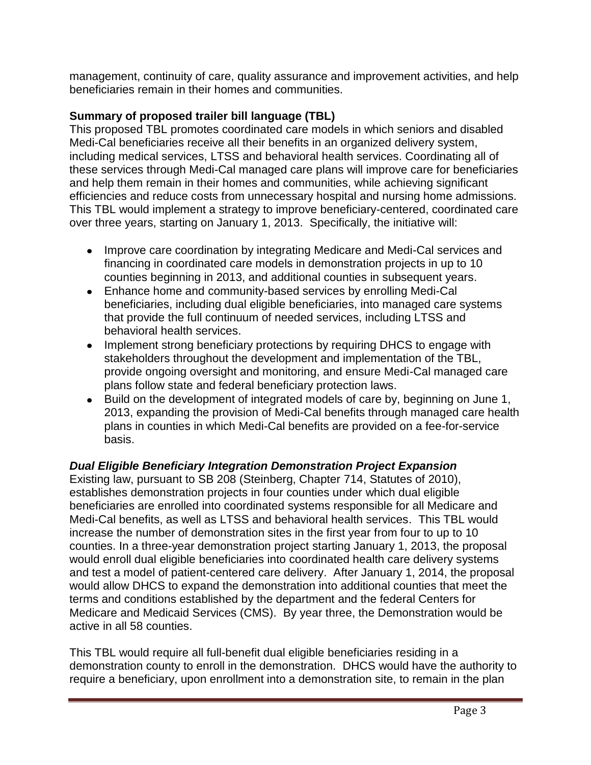management, continuity of care, quality assurance and improvement activities, and help beneficiaries remain in their homes and communities.

# **Summary of proposed trailer bill language (TBL)**

This proposed TBL promotes coordinated care models in which seniors and disabled Medi-Cal beneficiaries receive all their benefits in an organized delivery system, including medical services, LTSS and behavioral health services. Coordinating all of these services through Medi-Cal managed care plans will improve care for beneficiaries and help them remain in their homes and communities, while achieving significant efficiencies and reduce costs from unnecessary hospital and nursing home admissions. This TBL would implement a strategy to improve beneficiary-centered, coordinated care over three years, starting on January 1, 2013. Specifically, the initiative will:

- Improve care coordination by integrating Medicare and Medi-Cal services and financing in coordinated care models in demonstration projects in up to 10 counties beginning in 2013, and additional counties in subsequent years.
- Enhance home and community-based services by enrolling Medi-Cal beneficiaries, including dual eligible beneficiaries, into managed care systems that provide the full continuum of needed services, including LTSS and behavioral health services.
- Implement strong beneficiary protections by requiring DHCS to engage with stakeholders throughout the development and implementation of the TBL, provide ongoing oversight and monitoring, and ensure Medi-Cal managed care plans follow state and federal beneficiary protection laws.
- Build on the development of integrated models of care by, beginning on June 1, 2013, expanding the provision of Medi-Cal benefits through managed care health plans in counties in which Medi-Cal benefits are provided on a fee-for-service basis.

# *Dual Eligible Beneficiary Integration Demonstration Project Expansion*

Existing law, pursuant to SB 208 (Steinberg, Chapter 714, Statutes of 2010), establishes demonstration projects in four counties under which dual eligible beneficiaries are enrolled into coordinated systems responsible for all Medicare and Medi-Cal benefits, as well as LTSS and behavioral health services. This TBL would increase the number of demonstration sites in the first year from four to up to 10 counties. In a three-year demonstration project starting January 1, 2013, the proposal would enroll dual eligible beneficiaries into coordinated health care delivery systems and test a model of patient-centered care delivery. After January 1, 2014, the proposal would allow DHCS to expand the demonstration into additional counties that meet the terms and conditions established by the department and the federal Centers for Medicare and Medicaid Services (CMS). By year three, the Demonstration would be active in all 58 counties.

This TBL would require all full-benefit dual eligible beneficiaries residing in a demonstration county to enroll in the demonstration. DHCS would have the authority to require a beneficiary, upon enrollment into a demonstration site, to remain in the plan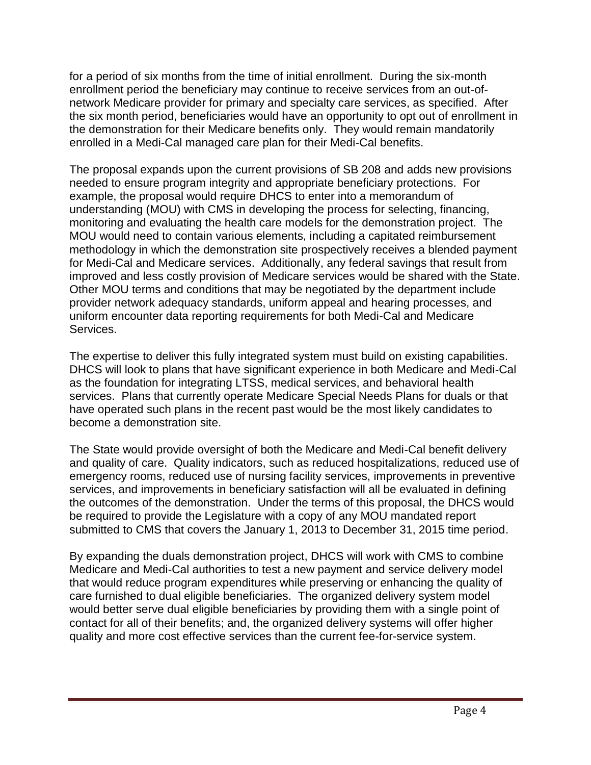for a period of six months from the time of initial enrollment. During the six-month enrollment period the beneficiary may continue to receive services from an out-ofnetwork Medicare provider for primary and specialty care services, as specified. After the six month period, beneficiaries would have an opportunity to opt out of enrollment in the demonstration for their Medicare benefits only. They would remain mandatorily enrolled in a Medi-Cal managed care plan for their Medi-Cal benefits.

The proposal expands upon the current provisions of SB 208 and adds new provisions needed to ensure program integrity and appropriate beneficiary protections. For example, the proposal would require DHCS to enter into a memorandum of understanding (MOU) with CMS in developing the process for selecting, financing, monitoring and evaluating the health care models for the demonstration project. The MOU would need to contain various elements, including a capitated reimbursement methodology in which the demonstration site prospectively receives a blended payment for Medi-Cal and Medicare services. Additionally, any federal savings that result from improved and less costly provision of Medicare services would be shared with the State. Other MOU terms and conditions that may be negotiated by the department include provider network adequacy standards, uniform appeal and hearing processes, and uniform encounter data reporting requirements for both Medi-Cal and Medicare Services.

The expertise to deliver this fully integrated system must build on existing capabilities. DHCS will look to plans that have significant experience in both Medicare and Medi-Cal as the foundation for integrating LTSS, medical services, and behavioral health services. Plans that currently operate Medicare Special Needs Plans for duals or that have operated such plans in the recent past would be the most likely candidates to become a demonstration site.

The State would provide oversight of both the Medicare and Medi-Cal benefit delivery and quality of care. Quality indicators, such as reduced hospitalizations, reduced use of emergency rooms, reduced use of nursing facility services, improvements in preventive services, and improvements in beneficiary satisfaction will all be evaluated in defining the outcomes of the demonstration. Under the terms of this proposal, the DHCS would be required to provide the Legislature with a copy of any MOU mandated report submitted to CMS that covers the January 1, 2013 to December 31, 2015 time period.

By expanding the duals demonstration project, DHCS will work with CMS to combine Medicare and Medi-Cal authorities to test a new payment and service delivery model that would reduce program expenditures while preserving or enhancing the quality of care furnished to dual eligible beneficiaries. The organized delivery system model would better serve dual eligible beneficiaries by providing them with a single point of contact for all of their benefits; and, the organized delivery systems will offer higher quality and more cost effective services than the current fee-for-service system.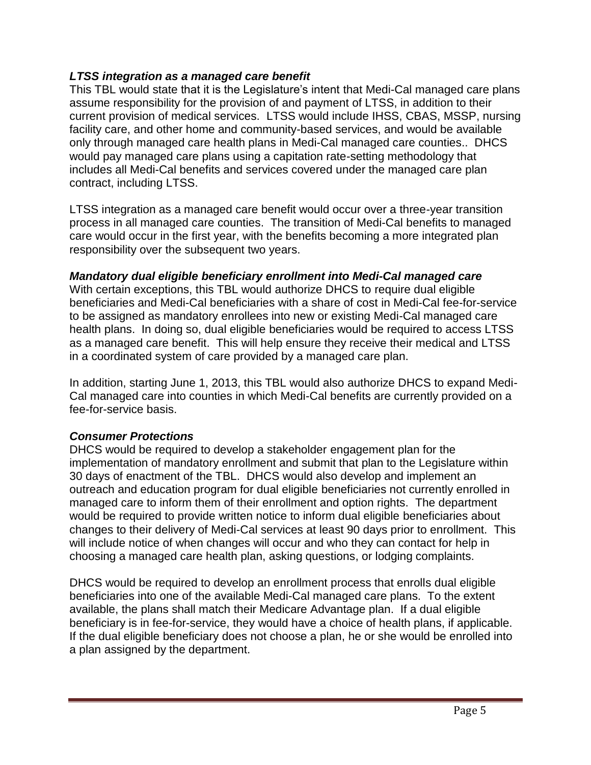## *LTSS integration as a managed care benefit*

This TBL would state that it is the Legislature's intent that Medi-Cal managed care plans assume responsibility for the provision of and payment of LTSS, in addition to their current provision of medical services. LTSS would include IHSS, CBAS, MSSP, nursing facility care, and other home and community-based services, and would be available only through managed care health plans in Medi-Cal managed care counties.. DHCS would pay managed care plans using a capitation rate-setting methodology that includes all Medi-Cal benefits and services covered under the managed care plan contract, including LTSS.

LTSS integration as a managed care benefit would occur over a three-year transition process in all managed care counties. The transition of Medi-Cal benefits to managed care would occur in the first year, with the benefits becoming a more integrated plan responsibility over the subsequent two years.

#### *Mandatory dual eligible beneficiary enrollment into Medi-Cal managed care*

With certain exceptions, this TBL would authorize DHCS to require dual eligible beneficiaries and Medi-Cal beneficiaries with a share of cost in Medi-Cal fee-for-service to be assigned as mandatory enrollees into new or existing Medi-Cal managed care health plans. In doing so, dual eligible beneficiaries would be required to access LTSS as a managed care benefit. This will help ensure they receive their medical and LTSS in a coordinated system of care provided by a managed care plan.

In addition, starting June 1, 2013, this TBL would also authorize DHCS to expand Medi-Cal managed care into counties in which Medi-Cal benefits are currently provided on a fee-for-service basis.

# *Consumer Protections*

DHCS would be required to develop a stakeholder engagement plan for the implementation of mandatory enrollment and submit that plan to the Legislature within 30 days of enactment of the TBL. DHCS would also develop and implement an outreach and education program for dual eligible beneficiaries not currently enrolled in managed care to inform them of their enrollment and option rights. The department would be required to provide written notice to inform dual eligible beneficiaries about changes to their delivery of Medi-Cal services at least 90 days prior to enrollment. This will include notice of when changes will occur and who they can contact for help in choosing a managed care health plan, asking questions, or lodging complaints.

DHCS would be required to develop an enrollment process that enrolls dual eligible beneficiaries into one of the available Medi-Cal managed care plans. To the extent available, the plans shall match their Medicare Advantage plan. If a dual eligible beneficiary is in fee-for-service, they would have a choice of health plans, if applicable. If the dual eligible beneficiary does not choose a plan, he or she would be enrolled into a plan assigned by the department.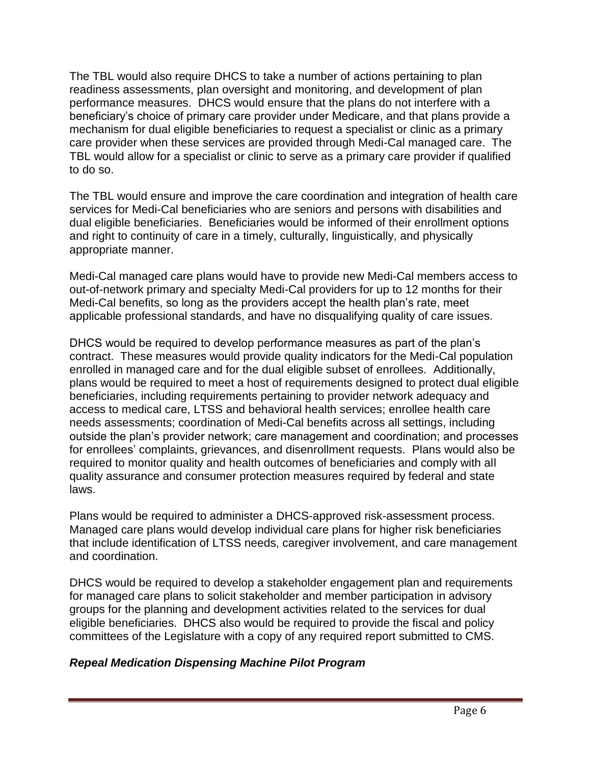The TBL would also require DHCS to take a number of actions pertaining to plan readiness assessments, plan oversight and monitoring, and development of plan performance measures. DHCS would ensure that the plans do not interfere with a beneficiary's choice of primary care provider under Medicare, and that plans provide a mechanism for dual eligible beneficiaries to request a specialist or clinic as a primary care provider when these services are provided through Medi-Cal managed care. The TBL would allow for a specialist or clinic to serve as a primary care provider if qualified to do so.

The TBL would ensure and improve the care coordination and integration of health care services for Medi-Cal beneficiaries who are seniors and persons with disabilities and dual eligible beneficiaries. Beneficiaries would be informed of their enrollment options and right to continuity of care in a timely, culturally, linguistically, and physically appropriate manner.

Medi-Cal managed care plans would have to provide new Medi-Cal members access to out-of-network primary and specialty Medi-Cal providers for up to 12 months for their Medi-Cal benefits, so long as the providers accept the health plan's rate, meet applicable professional standards, and have no disqualifying quality of care issues.

DHCS would be required to develop performance measures as part of the plan's contract. These measures would provide quality indicators for the Medi-Cal population enrolled in managed care and for the dual eligible subset of enrollees. Additionally, plans would be required to meet a host of requirements designed to protect dual eligible beneficiaries, including requirements pertaining to provider network adequacy and access to medical care, LTSS and behavioral health services; enrollee health care needs assessments; coordination of Medi-Cal benefits across all settings, including outside the plan's provider network; care management and coordination; and processes for enrollees' complaints, grievances, and disenrollment requests. Plans would also be required to monitor quality and health outcomes of beneficiaries and comply with all quality assurance and consumer protection measures required by federal and state laws.

Plans would be required to administer a DHCS-approved risk-assessment process. Managed care plans would develop individual care plans for higher risk beneficiaries that include identification of LTSS needs, caregiver involvement, and care management and coordination.

DHCS would be required to develop a stakeholder engagement plan and requirements for managed care plans to solicit stakeholder and member participation in advisory groups for the planning and development activities related to the services for dual eligible beneficiaries. DHCS also would be required to provide the fiscal and policy committees of the Legislature with a copy of any required report submitted to CMS.

#### *Repeal Medication Dispensing Machine Pilot Program*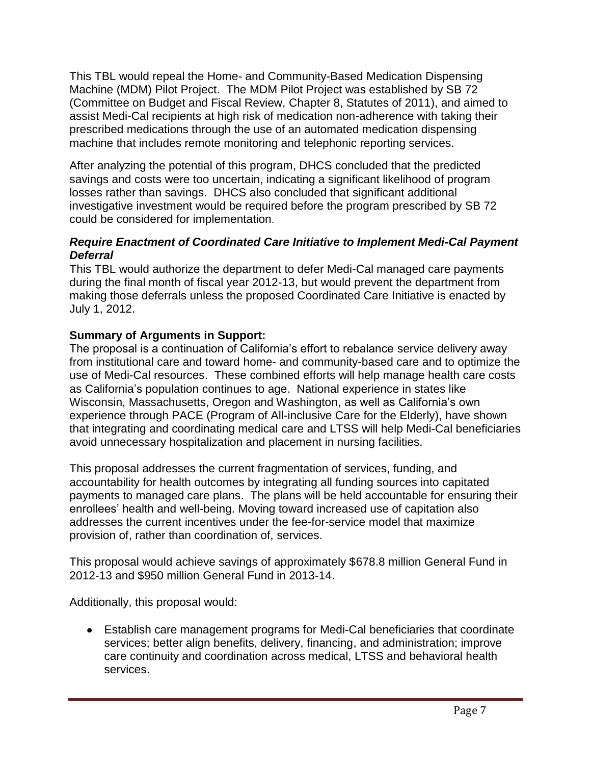This TBL would repeal the Home- and Community-Based Medication Dispensing Machine (MDM) Pilot Project. The MDM Pilot Project was established by SB 72 (Committee on Budget and Fiscal Review, Chapter 8, Statutes of 2011), and aimed to assist Medi-Cal recipients at high risk of medication non-adherence with taking their prescribed medications through the use of an automated medication dispensing machine that includes remote monitoring and telephonic reporting services.

After analyzing the potential of this program, DHCS concluded that the predicted savings and costs were too uncertain, indicating a significant likelihood of program losses rather than savings. DHCS also concluded that significant additional investigative investment would be required before the program prescribed by SB 72 could be considered for implementation.

## *Require Enactment of Coordinated Care Initiative to Implement Medi-Cal Payment Deferral*

This TBL would authorize the department to defer Medi-Cal managed care payments during the final month of fiscal year 2012-13, but would prevent the department from making those deferrals unless the proposed Coordinated Care Initiative is enacted by July 1, 2012.

## **Summary of Arguments in Support:**

The proposal is a continuation of California's effort to rebalance service delivery away from institutional care and toward home- and community-based care and to optimize the use of Medi-Cal resources. These combined efforts will help manage health care costs as California's population continues to age. National experience in states like Wisconsin, Massachusetts, Oregon and Washington, as well as California's own experience through PACE (Program of All-inclusive Care for the Elderly), have shown that integrating and coordinating medical care and LTSS will help Medi-Cal beneficiaries avoid unnecessary hospitalization and placement in nursing facilities.

This proposal addresses the current fragmentation of services, funding, and accountability for health outcomes by integrating all funding sources into capitated payments to managed care plans. The plans will be held accountable for ensuring their enrollees' health and well-being. Moving toward increased use of capitation also addresses the current incentives under the fee-for-service model that maximize provision of, rather than coordination of, services.

This proposal would achieve savings of approximately \$678.8 million General Fund in 2012-13 and \$950 million General Fund in 2013-14.

Additionally, this proposal would:

Establish care management programs for Medi-Cal beneficiaries that coordinate  $\bullet$ services; better align benefits, delivery, financing, and administration; improve care continuity and coordination across medical, LTSS and behavioral health services.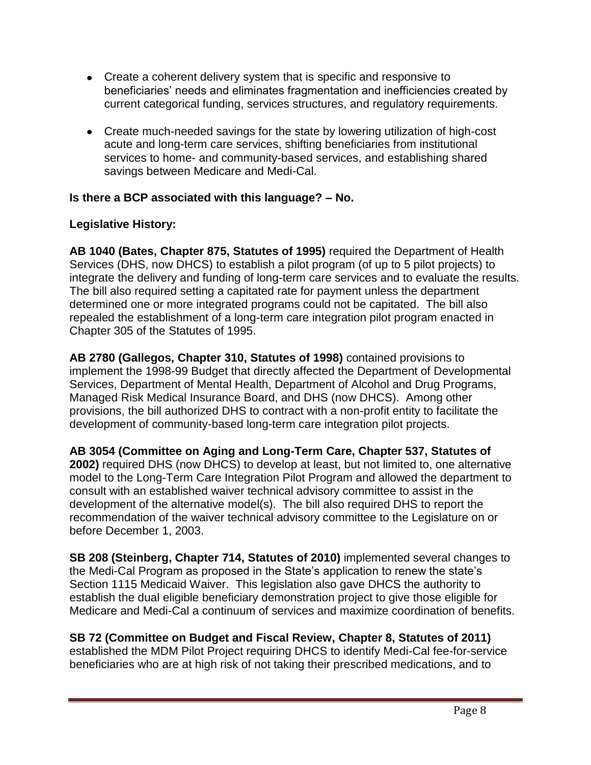- Create a coherent delivery system that is specific and responsive to beneficiaries' needs and eliminates fragmentation and inefficiencies created by current categorical funding, services structures, and regulatory requirements.
- Create much-needed savings for the state by lowering utilization of high-cost acute and long-term care services, shifting beneficiaries from institutional services to home- and community-based services, and establishing shared savings between Medicare and Medi-Cal.

#### **Is there a BCP associated with this language? – No.**

## **Legislative History:**

**AB 1040 (Bates, Chapter 875, Statutes of 1995)** required the Department of Health Services (DHS, now DHCS) to establish a pilot program (of up to 5 pilot projects) to integrate the delivery and funding of long-term care services and to evaluate the results. The bill also required setting a capitated rate for payment unless the department determined one or more integrated programs could not be capitated. The bill also repealed the establishment of a long-term care integration pilot program enacted in Chapter 305 of the Statutes of 1995.

**AB 2780 (Gallegos, Chapter 310, Statutes of 1998)** contained provisions to implement the 1998-99 Budget that directly affected the Department of Developmental Services, Department of Mental Health, Department of Alcohol and Drug Programs, Managed Risk Medical Insurance Board, and DHS (now DHCS). Among other provisions, the bill authorized DHS to contract with a non-profit entity to facilitate the development of community-based long-term care integration pilot projects.

**AB 3054 (Committee on Aging and Long-Term Care, Chapter 537, Statutes of 2002)** required DHS (now DHCS) to develop at least, but not limited to, one alternative model to the Long-Term Care Integration Pilot Program and allowed the department to consult with an established waiver technical advisory committee to assist in the development of the alternative model(s). The bill also required DHS to report the recommendation of the waiver technical advisory committee to the Legislature on or before December 1, 2003.

**SB 208 (Steinberg, Chapter 714, Statutes of 2010)** implemented several changes to the Medi-Cal Program as proposed in the State's application to renew the state's Section 1115 Medicaid Waiver. This legislation also gave DHCS the authority to establish the dual eligible beneficiary demonstration project to give those eligible for Medicare and Medi-Cal a continuum of services and maximize coordination of benefits.

**SB 72 (Committee on Budget and Fiscal Review, Chapter 8, Statutes of 2011)**  established the MDM Pilot Project requiring DHCS to identify Medi-Cal fee-for-service beneficiaries who are at high risk of not taking their prescribed medications, and to